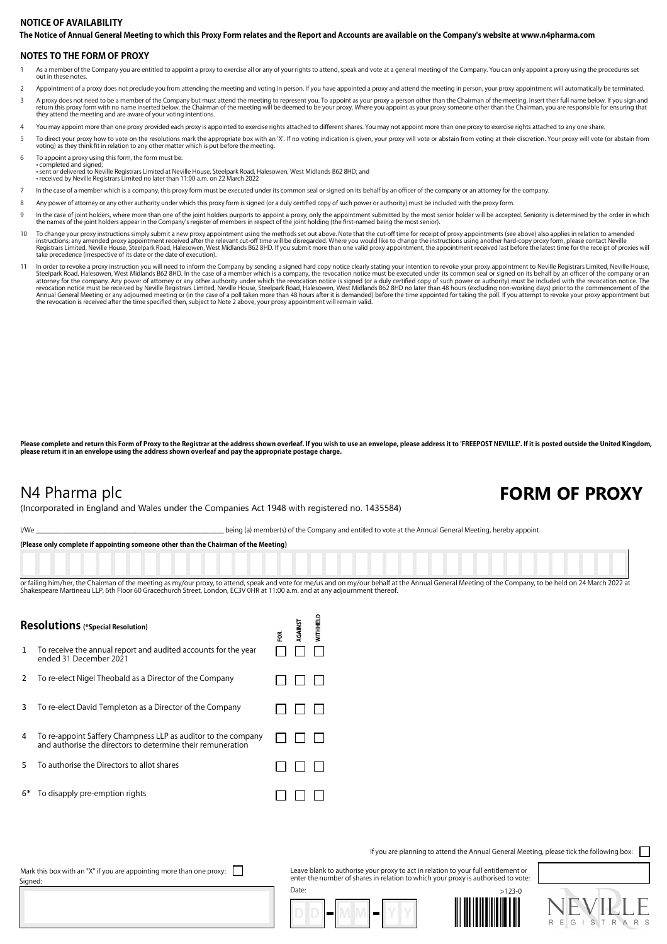## **The Notice of Annual General Meeting to which this Proxy Form relates and the Report and Accounts are available on the Company's website at www.n4pharma.com NOTICE OF AVAILABILITY**

### **NOTES TO THE FORM OF PROXY**

- 1 As a member of the Company you are entitled to appoint a proxy to exercise all or any of your rights to attend, speak and vote at a general meeting of the Company. You can only appoint a proxy using the procedures set out in these notes.
- 2 Appointment of a proxy does not preclude you from attending the meeting and voting in person. If you have appointed a proxy and attend the meeting in person, your proxy appointment will automatically be terminated.
- A proxy does not need to be a member of the Company but must attend the meeting to represent you. To appoint as your proxy a person other than the Chairman of the meeting, insert their full name below. If you sign and the they attend the meeting and are aware of your voting intentions.
- You may appoint more than one proxy provided each proxy is appointed to exercise rights attached to different shares. You may not appoint more than one proxy to exercise rights attached to any one share.
- 5 To direct your proxy how to vote on the resolutions mark the appropriate box with an 'X'. If no voting indication is given, your proxy will vote or abstain from voting at their discretion. Your proxy will vote (or abstai
- To appoint a proxy using this form, the form must be: • completed and signed;<br>• sent or delivered to Neville Registrars Limited at Neville House, Steelpark Road, Halesowen, West Midlands B62 8HD; and<br>• received by Neville Registrars Limited no later than 11:00 a.m. on 22 Marc
- 7 In the case of a member which is a company, this proxy form must be executed under its common seal or signed on its behalf by an officer of the company or an attorney for the company.
- 8 Any power of attorney or any other authority under which this proxy form is signed (or a duly certified copy of such power or authority) must be included with the proxy form.
- In the case of joint holders, where more than one of the joint holders purports to appoint a proxy, only the appointment submitted by the most senior holder will be accepted. Seniority is determined by the order in which the names of the joint holders appear in the Company's register of members in respect of the joint holding (the first-named being the most senior).
- 10 To change your proxy instructions simply submit a new proxy appointment using the methods set out above. Note that the cut-off time for receipt of proxy appointments (see above) also applies in relation to amended<br>instr
- In order to revoke a proxy instruction you will need to inform the Company by sending a signed hard copy notice clearly stating your intention to revoke your proxy appointment to Neville Registrars Limited, Neville House,

Please complete and return this Form of Proxy to the Registrar at the address shown overleaf. If you wish to use an envelope, please address it to 'FREEPOST NEVILLE'. If it is posted outside the United Kingdom, **please return it in an envelope using the address shown overleaf and pay the appropriate postage charge.**

## N4 Pharma plc **FORM OF PROXY**

(Incorporated in England and Wales under the Companies Act 1948 with registered no. 1435584)

I/We state of the Company and entitled to vote at the Annual General Meeting, hereby appoint

**(Please only complete if appointing someone other than the Chairman of the Meeting)**

or failing him/her, the Chairman of the meeting as my/our proxy, to attend, speak and yote for me/us and on my/our behalf at the Annual General Meeting of the Company, to be held on 24 March 2022 at Shakespeare Martineau LLP, 6th Floor 60 Gracechurch Street, London, EC3V 0HR at 11:00 a.m. and at any adjournment thereof

| Resolutions (*Special Resolution) |                                                                                                                              |   | <b>RGAINST</b> | <b>NILHELI</b> |
|-----------------------------------|------------------------------------------------------------------------------------------------------------------------------|---|----------------|----------------|
| 1                                 | To receive the annual report and audited accounts for the year<br>ended 31 December 2021                                     | ã |                |                |
| 2                                 | To re-elect Nigel Theobald as a Director of the Company                                                                      |   |                |                |
| 3                                 | To re-elect David Templeton as a Director of the Company                                                                     |   |                |                |
| 4                                 | To re-appoint Saffery Champness LLP as auditor to the company<br>and authorise the directors to determine their remuneration |   |                |                |
| 5                                 | To authorise the Directors to allot shares                                                                                   |   |                |                |
| 6*                                | To disapply pre-emption rights                                                                                               |   |                |                |
|                                   |                                                                                                                              |   |                |                |

If you are planning to attend the Annual General Meeting, please tick the following box:

Mark this box with an "X" if you are appointing more than one proxy:  $\Box$ Signed

Leave blank to authorise your proxy to act in relation to your full entitlement or enter the number of shares in relation to which your proxy is authorised to vote: Date: